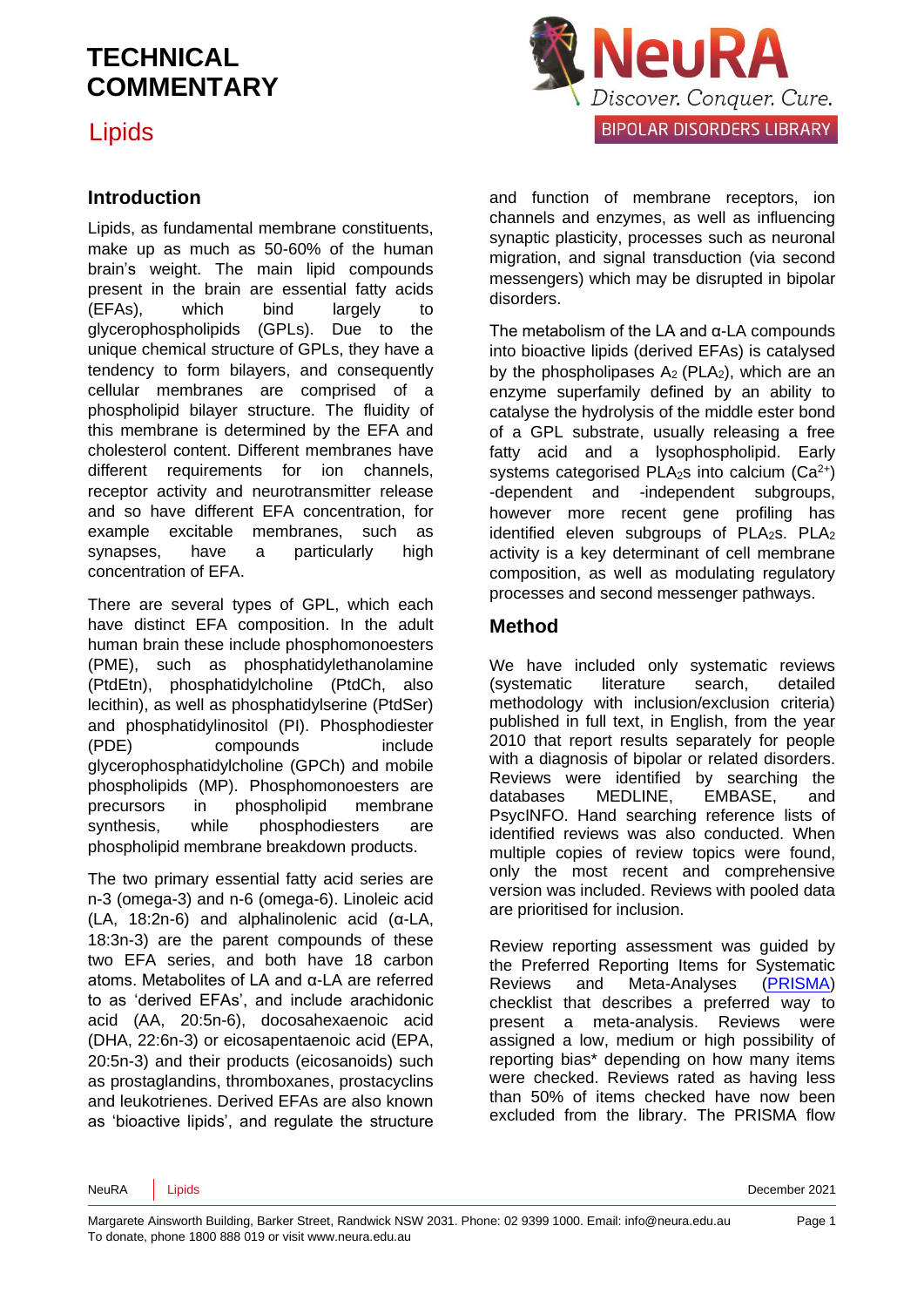Lipids

#### **Introduction**

Lipids, as fundamental membrane constituents, make up as much as 50-60% of the human brain's weight. The main lipid compounds present in the brain are essential fatty acids (EFAs), which bind largely to glycerophospholipids (GPLs). Due to the unique chemical structure of GPLs, they have a tendency to form bilayers, and consequently cellular membranes are comprised of a phospholipid bilayer structure. The fluidity of this membrane is determined by the EFA and cholesterol content. Different membranes have different requirements for ion channels, receptor activity and neurotransmitter release and so have different EFA concentration, for example excitable membranes, such as synapses, have a particularly high concentration of EFA.

There are several types of GPL, which each have distinct EFA composition. In the adult human brain these include phosphomonoesters (PME), such as phosphatidylethanolamine (PtdEtn), phosphatidylcholine (PtdCh, also lecithin), as well as phosphatidylserine (PtdSer) and phosphatidylinositol (PI). Phosphodiester (PDE) compounds include glycerophosphatidylcholine (GPCh) and mobile phospholipids (MP). Phosphomonoesters are precursors in phospholipid membrane synthesis, while phosphodiesters are phospholipid membrane breakdown products.

The two primary essential fatty acid series are n-3 (omega-3) and n-6 (omega-6). Linoleic acid (LA, 18:2n-6) and alphalinolenic acid (α-LA, 18:3n-3) are the parent compounds of these two EFA series, and both have 18 carbon atoms. Metabolites of LA and α-LA are referred to as 'derived EFAs', and include arachidonic acid (AA, 20:5n-6), docosahexaenoic acid (DHA, 22:6n-3) or eicosapentaenoic acid (EPA, 20:5n-3) and their products (eicosanoids) such as prostaglandins, thromboxanes, prostacyclins and leukotrienes. Derived EFAs are also known as 'bioactive lipids', and regulate the structure



and function of membrane receptors, ion channels and enzymes, as well as influencing synaptic plasticity, processes such as neuronal migration, and signal transduction (via second messengers) which may be disrupted in bipolar disorders.

The metabolism of the LA and α-LA compounds into bioactive lipids (derived EFAs) is catalysed by the phospholipases  $A_2$  (PLA<sub>2</sub>), which are an enzyme superfamily defined by an ability to catalyse the hydrolysis of the middle ester bond of a GPL substrate, usually releasing a free fatty acid and a lysophospholipid. Early systems categorised PLA<sub>2</sub>s into calcium  $(Ca^{2+})$ -dependent and -independent subgroups, however more recent gene profiling has identified eleven subgroups of  $PLA_2s$ .  $PLA_2$ activity is a key determinant of cell membrane composition, as well as modulating regulatory processes and second messenger pathways.

#### **Method**

We have included only systematic reviews (systematic literature search, detailed methodology with inclusion/exclusion criteria) published in full text, in English, from the year 2010 that report results separately for people with a diagnosis of bipolar or related disorders. Reviews were identified by searching the databases MEDLINE, EMBASE, and PsycINFO. Hand searching reference lists of identified reviews was also conducted. When multiple copies of review topics were found, only the most recent and comprehensive version was included. Reviews with pooled data are prioritised for inclusion.

Review reporting assessment was guided by the Preferred Reporting Items for Systematic Reviews and Meta-Analyses [\(PRISMA\)](http://www.prisma-statement.org/) checklist that describes a preferred way to present a meta-analysis. Reviews were assigned a low, medium or high possibility of reporting bias\* depending on how many items were checked. Reviews rated as having less than 50% of items checked have now been excluded from the library. The PRISMA flow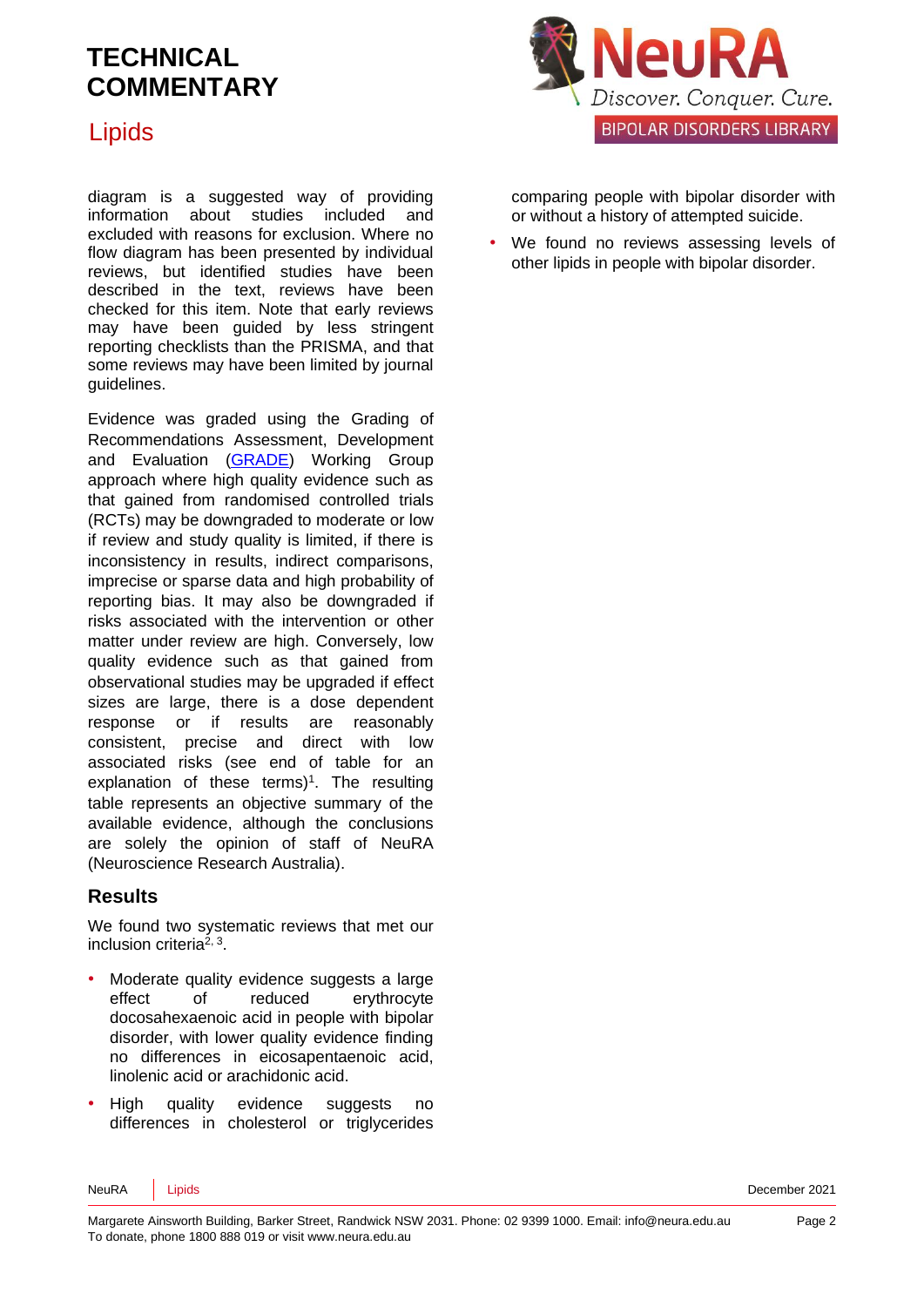

#### Lipids

diagram is a suggested way of providing information about studies included and excluded with reasons for exclusion. Where no flow diagram has been presented by individual reviews, but identified studies have been described in the text, reviews have been checked for this item. Note that early reviews may have been guided by less stringent reporting checklists than the PRISMA, and that some reviews may have been limited by journal guidelines.

Evidence was graded using the Grading of Recommendations Assessment, Development and Evaluation [\(GRADE\)](http://www.gradeworkinggroup.org/) Working Group approach where high quality evidence such as that gained from randomised controlled trials (RCTs) may be downgraded to moderate or low if review and study quality is limited, if there is inconsistency in results, indirect comparisons, imprecise or sparse data and high probability of reporting bias. It may also be downgraded if risks associated with the intervention or other matter under review are high. Conversely, low quality evidence such as that gained from observational studies may be upgraded if effect sizes are large, there is a dose dependent response or if results are reasonably consistent, precise and direct with low associated risks (see end of table for an explanation of these terms)<sup>[1](#page-6-0)</sup>. The resulting table represents an objective summary of the available evidence, although the conclusions are solely the opinion of staff of NeuRA (Neuroscience Research Australia).

#### **Results**

We found two systematic reviews that met our inclusion criteria<sup>[2,](#page-6-1) [3](#page-6-2)</sup>.

- Moderate quality evidence suggests a large effect of reduced erythrocyte docosahexaenoic acid in people with bipolar disorder, with lower quality evidence finding no differences in eicosapentaenoic acid, linolenic acid or arachidonic acid.
- High quality evidence suggests no differences in cholesterol or triglycerides

comparing people with bipolar disorder with or without a history of attempted suicide.

We found no reviews assessing levels of other lipids in people with bipolar disorder.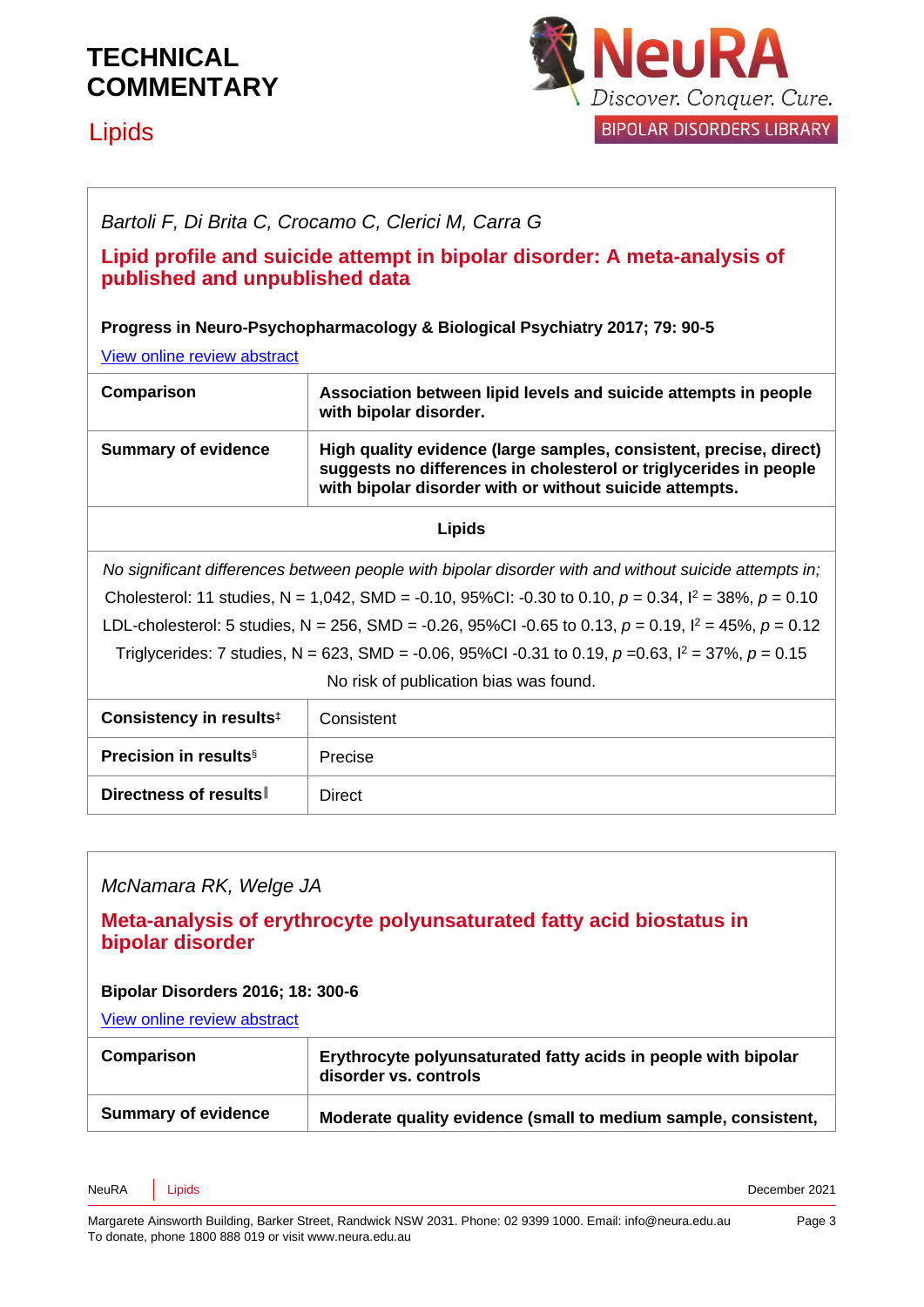### Lipids



# *Bartoli F, Di Brita C, Crocamo C, Clerici M, Carra G* **Lipid profile and suicide attempt in bipolar disorder: A meta-analysis of published and unpublished data Progress in Neuro-Psychopharmacology & Biological Psychiatry 2017; 79: 90-5** [View online review abstract](https://www.ncbi.nlm.nih.gov/pubmed/28627446)  **Comparison Association between lipid levels and suicide attempts in people with bipolar disorder.**

| <b>Summary of evidence</b> | High quality evidence (large samples, consistent, precise, direct)<br>suggests no differences in cholesterol or triglycerides in people |
|----------------------------|-----------------------------------------------------------------------------------------------------------------------------------------|
|                            | with bipolar disorder with or without suicide attempts.                                                                                 |

#### **Lipids**

*No significant differences between people with bipolar disorder with and without suicide attempts in;* Cholesterol: 11 studies, N = 1,042, SMD = -0.10, 95%CI: -0.30 to 0.10, *p* = 0.34, I <sup>2</sup> = 38%, *p* = 0.10 LDL-cholesterol: 5 studies, N = 256, SMD = -0.26, 95%CI -0.65 to 0.13, *p* = 0.19, I <sup>2</sup> = 45%, *p* = 0.12 Triglycerides: 7 studies, N = 623, SMD = -0.06, 95%CI -0.31 to 0.19, *p* =0.63, I <sup>2</sup> = 37%, *p* = 0.15 No risk of publication bias was found.

| Consistency in results <sup>#</sup>      | Consistent |
|------------------------------------------|------------|
| <b>Precision in results</b> <sup>§</sup> | Precise    |
| Directness of results                    | Direct     |

#### *McNamara RK, Welge JA*

#### **Meta-analysis of erythrocyte polyunsaturated fatty acid biostatus in bipolar disorder**

#### **Bipolar Disorders 2016; 18: 300-6**

[View online review abstract](https://www.ncbi.nlm.nih.gov/pubmed/27087497) 

| Comparison                 | Erythrocyte polyunsaturated fatty acids in people with bipolar<br>disorder vs. controls |
|----------------------------|-----------------------------------------------------------------------------------------|
| <b>Summary of evidence</b> | Moderate quality evidence (small to medium sample, consistent,                          |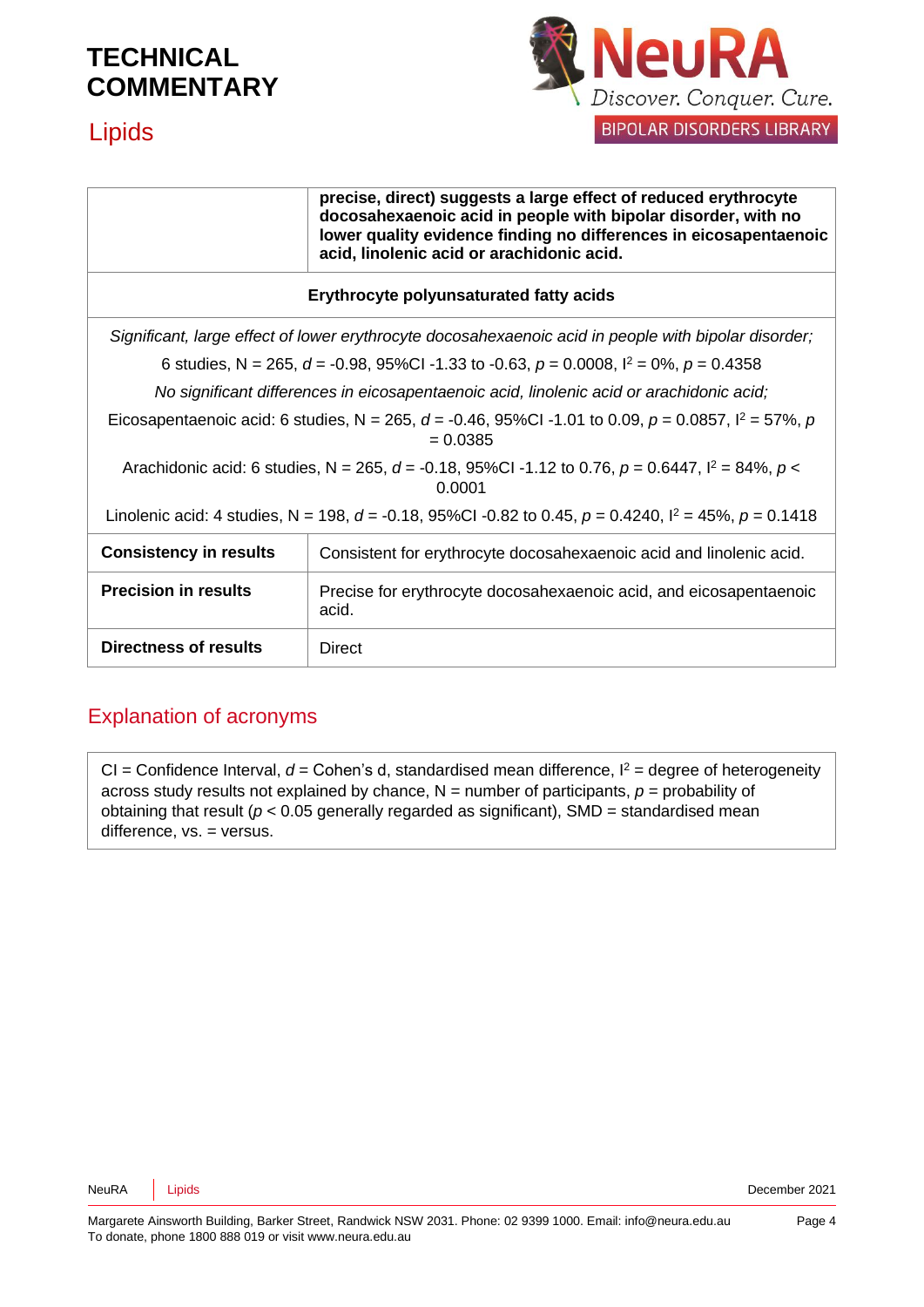

#### **Lipids**

| precise, direct) suggests a large effect of reduced erythrocyte   |  |  |
|-------------------------------------------------------------------|--|--|
| docosahexaenoic acid in people with bipolar disorder, with no     |  |  |
| lower quality evidence finding no differences in eicosapentaenoic |  |  |
| acid, linolenic acid or arachidonic acid.                         |  |  |

#### **Erythrocyte polyunsaturated fatty acids**

*Significant, large effect of lower erythrocyte docosahexaenoic acid in people with bipolar disorder;* 6 studies, N = 265, *d* = -0.98, 95%CI -1.33 to -0.63, *p* = 0.0008, I <sup>2</sup> = 0%, *p* = 0.4358 *No significant differences in eicosapentaenoic acid, linolenic acid or arachidonic acid;* Eicosapentaenoic acid: 6 studies, N = 265,  $d = -0.46$ , 95%CI -1.01 to 0.09,  $p = 0.0857$ ,  $l^2 = 57$ %,  $p$  $= 0.0385$ Arachidonic acid: 6 studies, N = 265, *d* = -0.18, 95%CI -1.12 to 0.76, *p* = 0.6447, I <sup>2</sup> = 84%, *p* < 0.0001 Linolenic acid: 4 studies, N = 198, *d* = -0.18, 95%CI -0.82 to 0.45, *p* = 0.4240, I <sup>2</sup> = 45%, *p* = 0.1418

| <b>Consistency in results</b> | Consistent for erythrocyte docosahexaenoic acid and linolenic acid.         |
|-------------------------------|-----------------------------------------------------------------------------|
| <b>Precision in results</b>   | Precise for erythrocyte docosahexaenoic acid, and eicosapentaenoic<br>acid. |
| <b>Directness of results</b>  | Direct                                                                      |

#### Explanation of acronyms

 $Cl =$  Confidence Interval,  $d =$  Cohen's d, standardised mean difference,  $l^2 =$  degree of heterogeneity across study results not explained by chance, N = number of participants, *p* = probability of obtaining that result ( $p < 0.05$  generally regarded as significant), SMD = standardised mean difference, vs. = versus.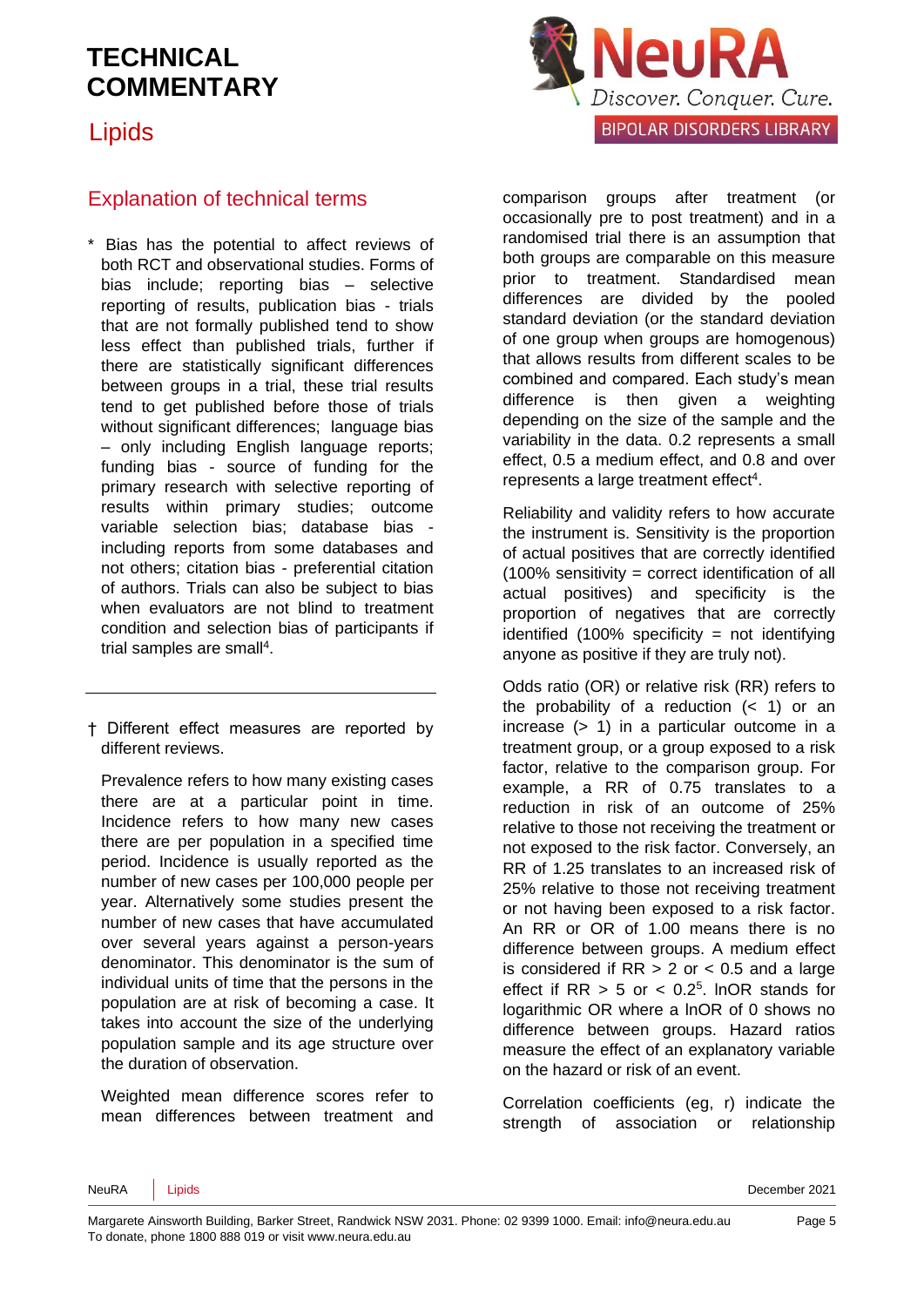Lipids



#### Explanation of technical terms

\* Bias has the potential to affect reviews of both RCT and observational studies. Forms of bias include; reporting bias – selective reporting of results, publication bias - trials that are not formally published tend to show less effect than published trials, further if there are statistically significant differences between groups in a trial, these trial results tend to get published before those of trials without significant differences: language bias – only including English language reports; funding bias - source of funding for the primary research with selective reporting of results within primary studies; outcome variable selection bias; database bias including reports from some databases and not others; citation bias - preferential citation of authors. Trials can also be subject to bias when evaluators are not blind to treatment condition and selection bias of participants if trial samples are sma[ll](#page-6-3)<sup>4</sup>.

† Different effect measures are reported by different reviews.

Prevalence refers to how many existing cases there are at a particular point in time. Incidence refers to how many new cases there are per population in a specified time period. Incidence is usually reported as the number of new cases per 100,000 people per year. Alternatively some studies present the number of new cases that have accumulated over several years against a person-years denominator. This denominator is the sum of individual units of time that the persons in the population are at risk of becoming a case. It takes into account the size of the underlying population sample and its age structure over the duration of observation.

Weighted mean difference scores refer to mean differences between treatment and comparison groups after treatment (or occasionally pre to post treatment) and in a randomised trial there is an assumption that both groups are comparable on this measure prior to treatment. Standardised mean differences are divided by the pooled standard deviation (or the standard deviation of one group when groups are homogenous) that allows results from different scales to be combined and compared. Each study's mean difference is then given a weighting depending on the size of the sample and the variability in the data. 0.2 represents a small effect, 0.5 a medium effect, and 0.8 and over represen[t](#page-6-3)s a large treatment effect<sup>4</sup>.

Reliability and validity refers to how accurate the instrument is. Sensitivity is the proportion of actual positives that are correctly identified (100% sensitivity = correct identification of all actual positives) and specificity is the proportion of negatives that are correctly identified  $(100\%$  specificity = not identifying anyone as positive if they are truly not).

Odds ratio (OR) or relative risk (RR) refers to the probability of a reduction  $( $1$ )$  or an increase (> 1) in a particular outcome in a treatment group, or a group exposed to a risk factor, relative to the comparison group. For example, a RR of 0.75 translates to a reduction in risk of an outcome of 25% relative to those not receiving the treatment or not exposed to the risk factor. Conversely, an RR of 1.25 translates to an increased risk of 25% relative to those not receiving treatment or not having been exposed to a risk factor. An RR or OR of 1.00 means there is no difference between groups. A medium effect is considered if  $RR > 2$  or  $< 0.5$  and a large effect if  $RR > 5$  or  $< 0.2<sup>5</sup>$  $< 0.2<sup>5</sup>$  $< 0.2<sup>5</sup>$ . InOR stands for logarithmic OR where a lnOR of 0 shows no difference between groups. Hazard ratios measure the effect of an explanatory variable on the hazard or risk of an event.

Correlation coefficients (eg, r) indicate the strength of association or relationship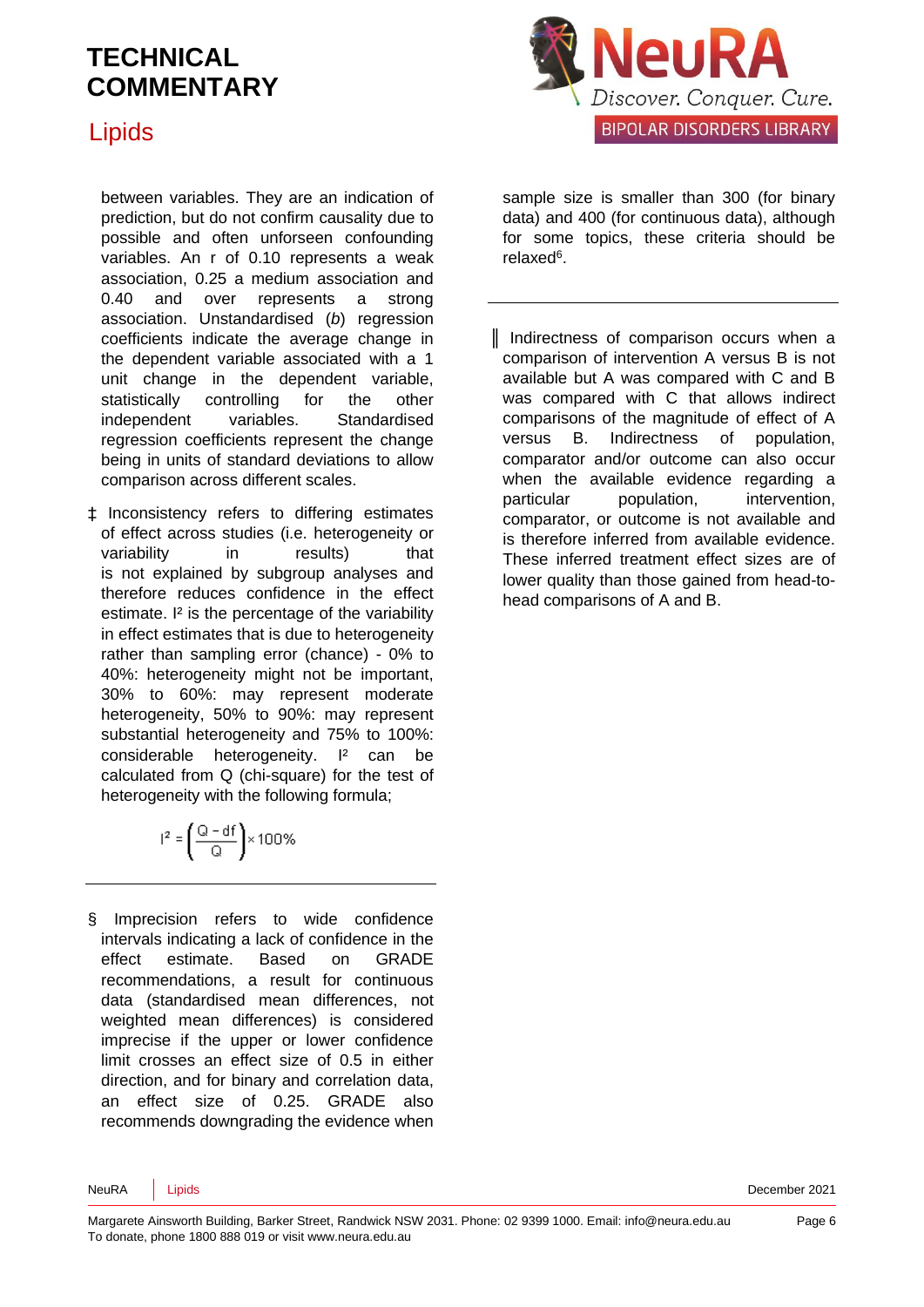### Lipids

between variables. They are an indication of prediction, but do not confirm causality due to possible and often unforseen confounding variables. An r of 0.10 represents a weak association, 0.25 a medium association and 0.40 and over represents a strong association. Unstandardised (*b*) regression coefficients indicate the average change in the dependent variable associated with a 1 unit change in the dependent variable, statistically controlling for the other independent variables. Standardised regression coefficients represent the change being in units of standard deviations to allow comparison across different scales.

‡ Inconsistency refers to differing estimates of effect across studies (i.e. heterogeneity or variability in results) that is not explained by subgroup analyses and therefore reduces confidence in the effect estimate. I² is the percentage of the variability in effect estimates that is due to heterogeneity rather than sampling error (chance) - 0% to 40%: heterogeneity might not be important, 30% to 60%: may represent moderate heterogeneity, 50% to 90%: may represent substantial heterogeneity and 75% to 100%: considerable heterogeneity. I<sup>2</sup> can be calculated from Q (chi-square) for the test of heterogeneity with the following formula;

$$
I^2 = \left(\frac{Q - df}{Q}\right) \times 100\%
$$

§ Imprecision refers to wide confidence intervals indicating a lack of confidence in the effect estimate. Based on GRADE recommendations, a result for continuous data (standardised mean differences, not weighted mean differences) is considered imprecise if the upper or lower confidence limit crosses an effect size of 0.5 in either direction, and for binary and correlation data, an effect size of 0.25. GRADE also recommends downgrading the evidence when



sample size is smaller than 300 (for binary data) and 400 (for continuous data), although for some topics, these criteria should be relaxe[d](#page-6-5)<sup>6</sup>.

║ Indirectness of comparison occurs when a comparison of intervention A versus B is not available but A was compared with C and B was compared with C that allows indirect comparisons of the magnitude of effect of A versus B. Indirectness of population, comparator and/or outcome can also occur when the available evidence regarding a particular population, intervention, comparator, or outcome is not available and is therefore inferred from available evidence. These inferred treatment effect sizes are of lower quality than those gained from head-tohead comparisons of A and B.